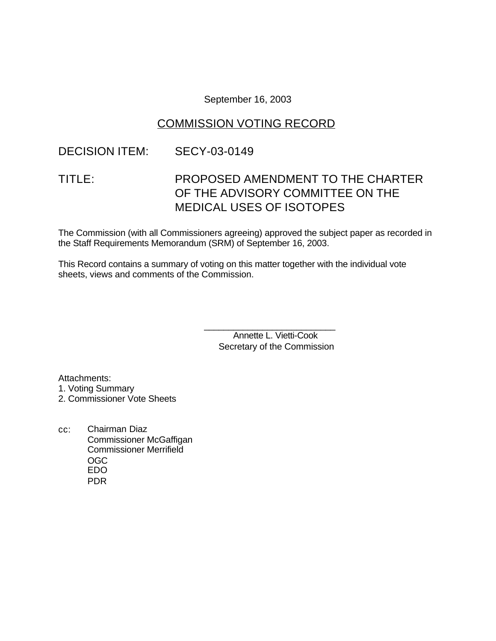September 16, 2003

# COMMISSION VOTING RECORD

### DECISION ITEM: SECY-03-0149

# TITLE: PROPOSED AMENDMENT TO THE CHARTER OF THE ADVISORY COMMITTEE ON THE MEDICAL USES OF ISOTOPES

The Commission (with all Commissioners agreeing) approved the subject paper as recorded in the Staff Requirements Memorandum (SRM) of September 16, 2003.

This Record contains a summary of voting on this matter together with the individual vote sheets, views and comments of the Commission.

> \_\_\_\_\_\_\_\_\_\_\_\_\_\_\_\_\_\_\_\_\_\_\_\_\_\_\_ Annette L. Vietti-Cook Secretary of the Commission

Attachments: 1. Voting Summary 2. Commissioner Vote Sheets

cc: Chairman Diaz Commissioner McGaffigan Commissioner Merrifield OGC EDO PDR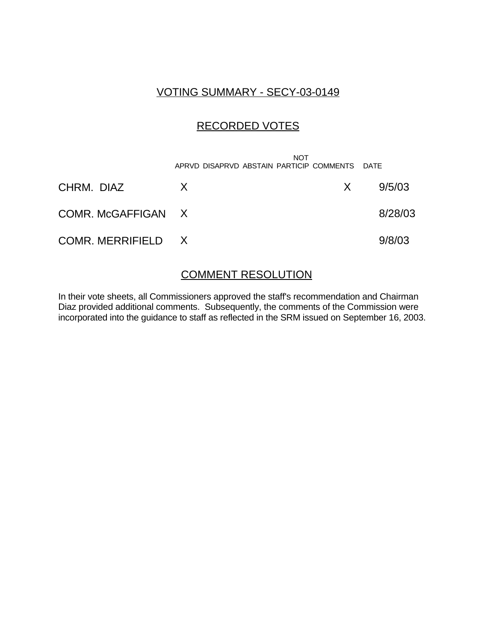### VOTING SUMMARY - SECY-03-0149

## RECORDED VOTES

|                    | <b>NOT</b><br>APRVD DISAPRVD ABSTAIN PARTICIP COMMENTS DATE |     |         |
|--------------------|-------------------------------------------------------------|-----|---------|
| CHRM. DIAZ         | X                                                           | X — | 9/5/03  |
| COMR. McGAFFIGAN X |                                                             |     | 8/28/03 |
| COMR. MERRIFIELD X |                                                             |     | 9/8/03  |

#### COMMENT RESOLUTION

In their vote sheets, all Commissioners approved the staff's recommendation and Chairman Diaz provided additional comments. Subsequently, the comments of the Commission were incorporated into the guidance to staff as reflected in the SRM issued on September 16, 2003.